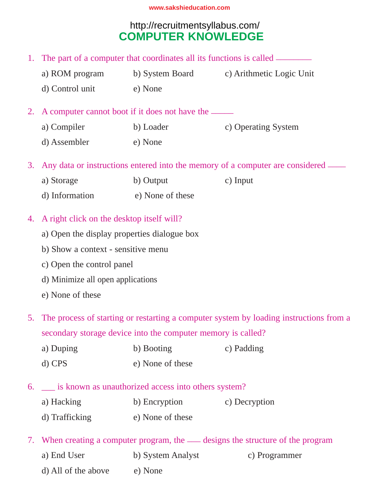# **COMPUTER KNOWLEDGE** http://recruitmentsyllabus.com/

|                                   |                                                                                           | 1. The part of a computer that coordinates all its functions is called ________ |                                                                                    |  |  |
|-----------------------------------|-------------------------------------------------------------------------------------------|---------------------------------------------------------------------------------|------------------------------------------------------------------------------------|--|--|
|                                   |                                                                                           |                                                                                 | a) ROM program b) System Board c) Arithmetic Logic Unit                            |  |  |
|                                   | d) Control unit (e) None                                                                  |                                                                                 |                                                                                    |  |  |
|                                   | 2. A computer cannot boot if it does not have the —                                       |                                                                                 |                                                                                    |  |  |
|                                   | a) Compiler                                                                               | b) Loader                                                                       | c) Operating System                                                                |  |  |
|                                   | d) Assembler<br>e) None                                                                   |                                                                                 |                                                                                    |  |  |
|                                   |                                                                                           |                                                                                 | 3. Any data or instructions entered into the memory of a computer are considered — |  |  |
|                                   | a) Storage                                                                                | b) Output                                                                       | c) Input                                                                           |  |  |
|                                   | d) Information (e) None of these                                                          |                                                                                 |                                                                                    |  |  |
|                                   | 4. A right click on the desktop itself will?                                              |                                                                                 |                                                                                    |  |  |
|                                   | a) Open the display properties dialogue box                                               |                                                                                 |                                                                                    |  |  |
|                                   | b) Show a context - sensitive menu                                                        |                                                                                 |                                                                                    |  |  |
|                                   | c) Open the control panel                                                                 |                                                                                 |                                                                                    |  |  |
| d) Minimize all open applications |                                                                                           |                                                                                 |                                                                                    |  |  |
|                                   | e) None of these                                                                          |                                                                                 |                                                                                    |  |  |
|                                   | 5. The process of starting or restarting a computer system by loading instructions from a |                                                                                 |                                                                                    |  |  |
|                                   | secondary storage device into the computer memory is called?                              |                                                                                 |                                                                                    |  |  |
|                                   | a) Duping                                                                                 | b) Booting                                                                      | c) Padding                                                                         |  |  |
|                                   | d) CPS                                                                                    | e) None of these                                                                |                                                                                    |  |  |
|                                   |                                                                                           | 6. __ is known as unauthorized access into others system?                       |                                                                                    |  |  |
|                                   | a) Hacking                                                                                | b) Encryption                                                                   | c) Decryption                                                                      |  |  |
|                                   | d) Trafficking                                                                            | e) None of these                                                                |                                                                                    |  |  |
|                                   |                                                                                           |                                                                                 | 7. When creating a computer program, the — designs the structure of the program    |  |  |

- a) End User b) System Analyst c) Programmer
- d) All of the above e) None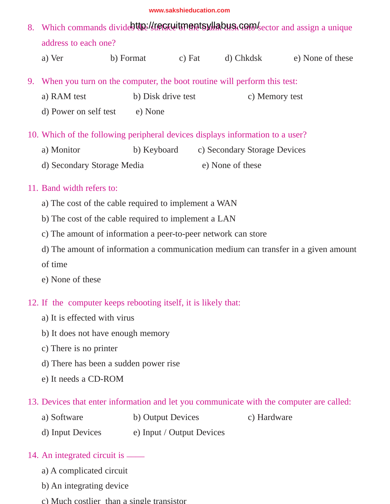- 8. Which commands divides the //recruitments will abus. Goro/sector and assign a unique address to each one?
	- a) Ver b) Format c) Fat d) Chkdsk e) None of these
- 9. When you turn on the computer, the boot routine will perform this test:
	- a) RAM test b) Disk drive test c) Memory test d) Power on self test e) None
- 10. Which of the following peripheral devices displays information to a user?
	- a) Monitor b) Keyboard c) Secondary Storage Devices d) Secondary Storage Media e) None of these

#### 11. Band width refers to:

- a) The cost of the cable required to implement a WAN
- b) The cost of the cable required to implement a LAN
- c) The amount of information a peer-to-peer network can store
- d) The amount of information a communication medium can transfer in a given amount
- of time

e) None of these

## 12. If the computer keeps rebooting itself, it is likely that:

- a) It is effected with virus
- b) It does not have enough memory
- c) There is no printer
- d) There has been a sudden power rise
- e) It needs a CD-ROM

#### 13. Devices that enter information and let you communicate with the computer are called:

- a) Software b) Output Devices c) Hardware
- d) Input Devices e) Input / Output Devices

#### 14. An integrated circuit is  $\equiv$

- a) A complicated circuit
- b) An integrating device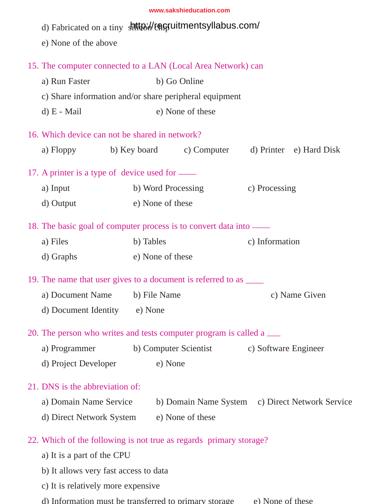| d) Fabricated on a tiny shittp://teggruitmentsyllabus.com/              |                    |                       |                                                            |  |  |  |
|-------------------------------------------------------------------------|--------------------|-----------------------|------------------------------------------------------------|--|--|--|
| e) None of the above                                                    |                    |                       |                                                            |  |  |  |
| 15. The computer connected to a LAN (Local Area Network) can            |                    |                       |                                                            |  |  |  |
| a) Run Faster                                                           |                    | b) Go Online          |                                                            |  |  |  |
| c) Share information and/or share peripheral equipment                  |                    |                       |                                                            |  |  |  |
| $d)$ E - Mail                                                           |                    | e) None of these      |                                                            |  |  |  |
| 16. Which device can not be shared in network?                          |                    |                       |                                                            |  |  |  |
|                                                                         |                    |                       | a) Floppy b) Key board c) Computer d) Printer e) Hard Disk |  |  |  |
| 17. A printer is a type of device used for ______                       |                    |                       |                                                            |  |  |  |
| a) Input                                                                | b) Word Processing |                       | c) Processing                                              |  |  |  |
| d) Output                                                               | e) None of these   |                       |                                                            |  |  |  |
| 18. The basic goal of computer process is to convert data into —        |                    |                       |                                                            |  |  |  |
| a) Files                                                                | b) Tables          |                       | c) Information                                             |  |  |  |
| d) Graphs                                                               | e) None of these   |                       |                                                            |  |  |  |
| 19. The name that user gives to a document is referred to as ______     |                    |                       |                                                            |  |  |  |
| a) Document Name b) File Name                                           |                    |                       | c) Name Given                                              |  |  |  |
| d) Document Identity                                                    | e) None            |                       |                                                            |  |  |  |
| 20. The person who writes and tests computer program is called a ______ |                    |                       |                                                            |  |  |  |
| a) Programmer                                                           |                    | b) Computer Scientist | c) Software Engineer                                       |  |  |  |
| d) Project Developer                                                    | e) None            |                       |                                                            |  |  |  |
| 21. DNS is the abbreviation of:                                         |                    |                       |                                                            |  |  |  |
| a) Domain Name Service                                                  |                    |                       | b) Domain Name System c) Direct Network Service            |  |  |  |
| d) Direct Network System                                                |                    | e) None of these      |                                                            |  |  |  |
| 22. Which of the following is not true as regards primary storage?      |                    |                       |                                                            |  |  |  |
| a) It is a part of the CPU                                              |                    |                       |                                                            |  |  |  |
| b) It allows very fast access to data                                   |                    |                       |                                                            |  |  |  |

c) It is relatively more expensive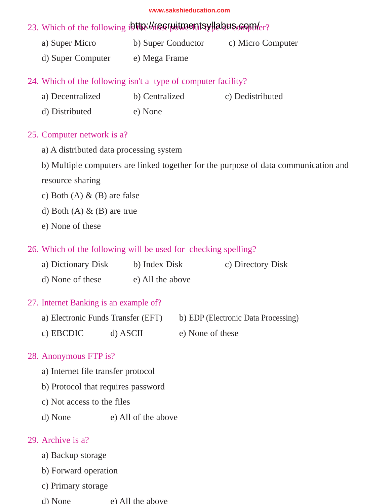# 23. Which of the following is the *Missiphtmentsyllabus.com/er?*

- a) Super Micro b) Super Conductor c) Micro Computer
- d) Super Computer e) Mega Frame

### 24. Which of the following isn't a type of computer facility?

| a) Decentralized | b) Centralized | c) Dedistributed |
|------------------|----------------|------------------|
| d) Distributed   | e) None        |                  |

#### 25. Computer network is a?

- a) A distributed data processing system
- b) Multiple computers are linked together for the purpose of data communication and

resource sharing

- c) Both  $(A)$  &  $(B)$  are false
- d) Both  $(A) \& (B)$  are true
- e) None of these

### 26. Which of the following will be used for checking spelling?

| a) Dictionary Disk | b) Index Disk | c) Directory Disk |
|--------------------|---------------|-------------------|
|                    |               |                   |

d) None of these e) All the above

#### 27. Internet Banking is an example of?

| a) Electronic Funds Transfer (EFT) |          | b) EDP (Electronic Data Processing) |
|------------------------------------|----------|-------------------------------------|
| c) EBCDIC                          | d) ASCII | e) None of these                    |

#### 28. Anonymous FTP is?

- a) Internet file transfer protocol
- b) Protocol that requires password
- c) Not access to the files
- d) None e) All of the above

#### 29. Archive is a?

- a) Backup storage
- b) Forward operation
- c) Drimary storage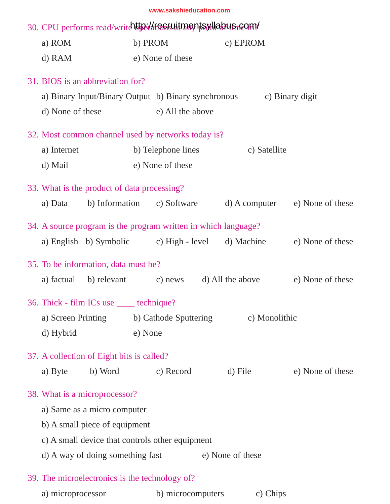| 30. CPU performs read/writehthe//arenasultmentsvillabus.com/   |                               |                  |                  |  |  |  |
|----------------------------------------------------------------|-------------------------------|------------------|------------------|--|--|--|
| a) ROM                                                         | b) PROM                       | c) EPROM         |                  |  |  |  |
| d) RAM                                                         | e) None of these              |                  |                  |  |  |  |
| 31. BIOS is an abbreviation for?                               |                               |                  |                  |  |  |  |
| a) Binary Input/Binary Output b) Binary synchronous            |                               |                  | c) Binary digit  |  |  |  |
| d) None of these                                               | e) All the above              |                  |                  |  |  |  |
|                                                                |                               |                  |                  |  |  |  |
| 32. Most common channel used by networks today is?             |                               |                  |                  |  |  |  |
| a) Internet                                                    | b) Telephone lines            | c) Satellite     |                  |  |  |  |
| d) Mail                                                        | e) None of these              |                  |                  |  |  |  |
| 33. What is the product of data processing?                    |                               |                  |                  |  |  |  |
| b) Information<br>a) Data                                      | c) Software                   | d) A computer    | e) None of these |  |  |  |
| 34. A source program is the program written in which language? |                               |                  |                  |  |  |  |
| a) English b) Symbolic c) High - level                         |                               | d) Machine       | e) None of these |  |  |  |
|                                                                |                               |                  |                  |  |  |  |
| 35. To be information, data must be?                           |                               |                  |                  |  |  |  |
| a) factual<br>b) relevant                                      | c) news                       | d) All the above | e) None of these |  |  |  |
| 36. Thick - film ICs use _____ technique?                      |                               |                  |                  |  |  |  |
| a) Screen Printing                                             | b) Cathode Sputtering         | c) Monolithic    |                  |  |  |  |
| d) Hybrid                                                      | e) None                       |                  |                  |  |  |  |
|                                                                |                               |                  |                  |  |  |  |
| 37. A collection of Eight bits is called?                      |                               |                  |                  |  |  |  |
| b) Word<br>a) Byte                                             | c) Record                     | d) File          | e) None of these |  |  |  |
| 38. What is a microprocessor?                                  |                               |                  |                  |  |  |  |
|                                                                | a) Same as a micro computer   |                  |                  |  |  |  |
|                                                                | b) A small piece of equipment |                  |                  |  |  |  |
| c) A small device that controls other equipment                |                               |                  |                  |  |  |  |
| d) A way of doing something fast                               |                               | e) None of these |                  |  |  |  |
|                                                                |                               |                  |                  |  |  |  |

# 39. The microelectronics is the technology of?